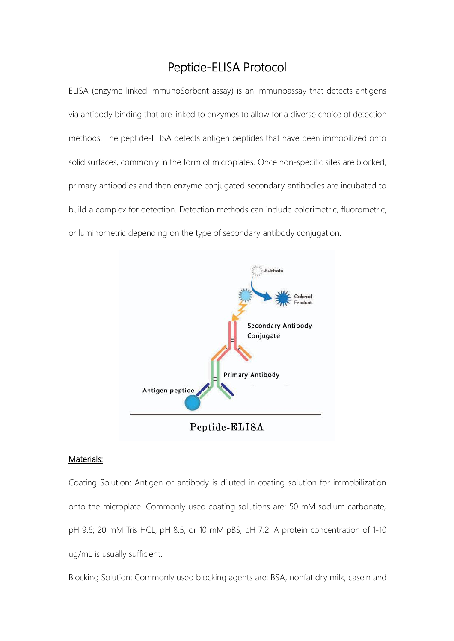## Peptide-ELISA Protocol

ELISA (enzyme-linked immunoSorbent assay) is an immunoassay that detects antigens via antibody binding that are linked to enzymes to allow for a diverse choice of detection methods. The peptide-ELISA detects antigen peptides that have been immobilized onto solid surfaces, commonly in the form of microplates. Once non-specific sites are blocked, primary antibodies and then enzyme conjugated secondary antibodies are incubated to build a complex for detection. Detection methods can include colorimetric, fluorometric, or luminometric depending on the type of secondary antibody conjugation.



## Materials:

Coating Solution: Antigen or antibody is diluted in coating solution for immobilization onto the microplate. Commonly used coating solutions are: 50 mM sodium carbonate, pH 9.6; 20 mM Tris HCL, pH 8.5; or 10 mM pBS, pH 7.2. A protein concentration of 1-10 ug/mL is usually sufficient.

Blocking Solution: Commonly used blocking agents are: BSA, nonfat dry milk, casein and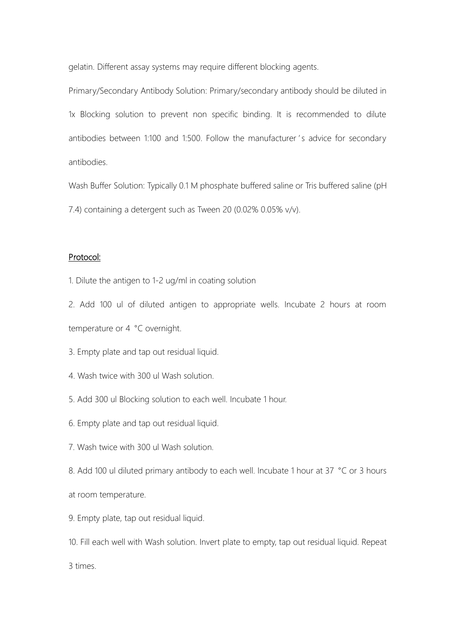gelatin. Different assay systems may require different blocking agents.

Primary/Secondary Antibody Solution: Primary/secondary antibody should be diluted in 1x Blocking solution to prevent non specific binding. It is recommended to dilute antibodies between 1:100 and 1:500. Follow the manufacturer 's advice for secondary antibodies.

Wash Buffer Solution: Typically 0.1 M phosphate buffered saline or Tris buffered saline (pH 7.4) containing a detergent such as Tween 20 (0.02% 0.05% v/v).

## Protocol:

1. Dilute the antigen to 1-2 ug/ml in coating solution

2. Add 100 ul of diluted antigen to appropriate wells. Incubate 2 hours at room temperature or 4 °C overnight.

3. Empty plate and tap out residual liquid.

- 4. Wash twice with 300 ul Wash solution.
- 5. Add 300 ul Blocking solution to each well. Incubate 1 hour.
- 6. Empty plate and tap out residual liquid.
- 7. Wash twice with 300 ul Wash solution.
- 8. Add 100 ul diluted primary antibody to each well. Incubate 1 hour at 37 °C or 3 hours at room temperature.
- 9. Empty plate, tap out residual liquid.

10. Fill each well with Wash solution. Invert plate to empty, tap out residual liquid. Repeat 3 times.